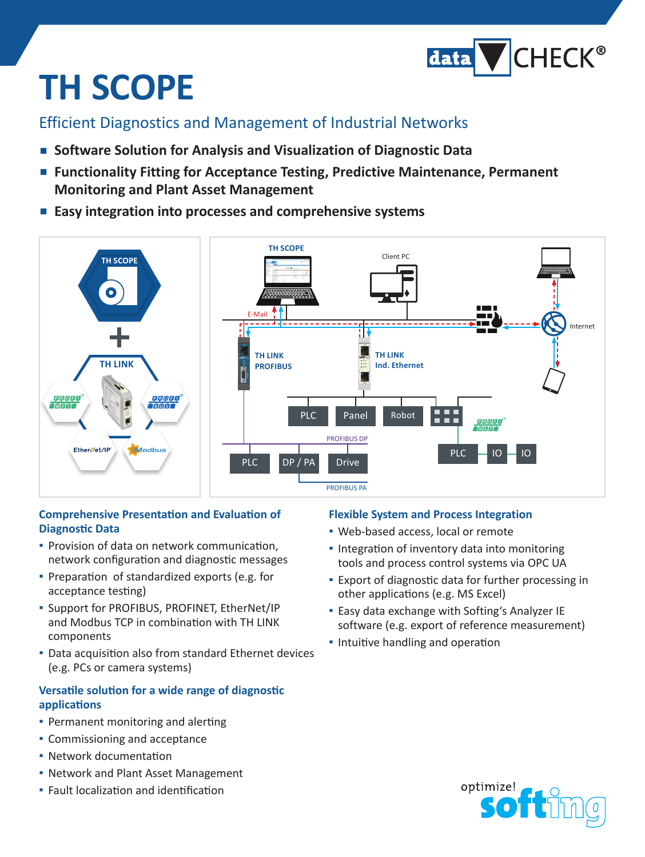

# **TH SCOPE**

### Efficient Diagnostics and Management of Industrial Networks

- **▪▪ Software Solution for Analysis and Visualization of Diagnostic Data**
- Functionality Fitting for Acceptance Testing, Predictive Maintenance, Permanent **Monitoring and Plant Asset Management**
- Easy integration into processes and comprehensive systems



#### **Comprehensive Presentation and Evaluation of Diagnostic Data**

- **▪** Provision of data on network communication, network configuration and diagnostic messages
- **▪**▪ Preparation of standardized exports (e.g. for acceptance testing)
- **▪**▪ Support for PROFIBUS, PROFINET, EtherNet/IP and Modbus TCP in combination with TH LINK components
- **▪**▪ Data acquisition also from standard Ethernet devices (e.g. PCs or camera systems)

#### **Versatile solution for a wide range of diagnostic applications**

- **▪**▪ Permanent monitoring and alerting
- **▪**▪ Commissioning and acceptance
- **▪**▪ Network documentation
- **▪**▪ Network and Plant Asset Management
- **▪**▪ Fault localization and identification

#### **Flexible System and Process Integration**

- Web-based access, local or remote
- Integration of inventory data into monitoring tools and process control systems via OPC UA
- **▪**▪ Export of diagnostic data for further processing in other applications (e.g. MS Excel)
- **Easy data exchange with Softing's Analyzer IE** software (e.g. export of reference measurement)
- **<u>■ Intuitive handling and operation</u>**